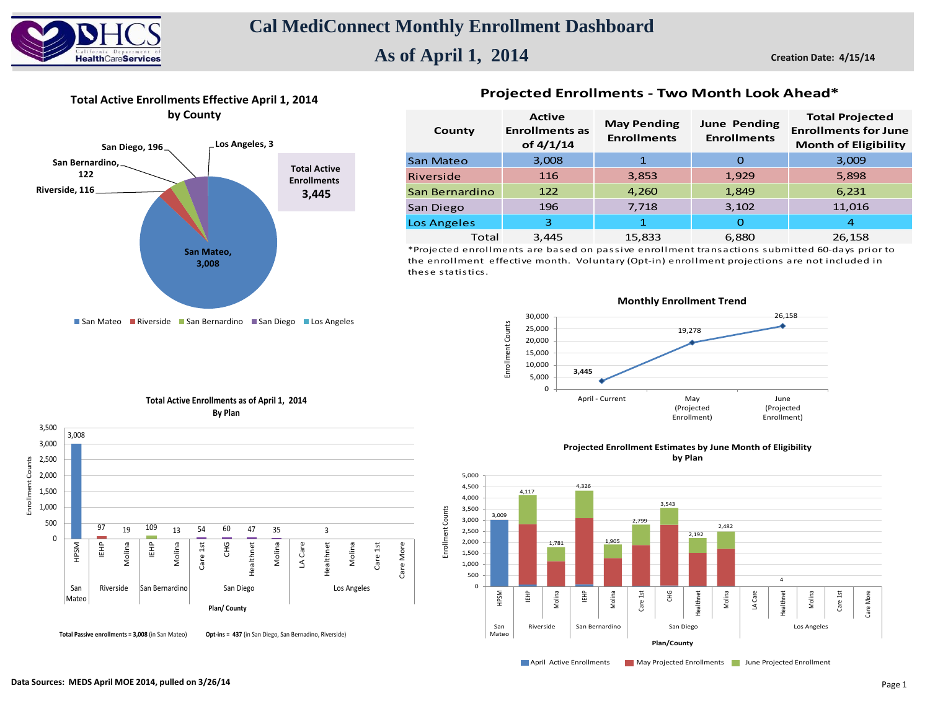

# **As of April 1, 2014**

**Creation Date: 4/15/14**



**Total Active Enrollments Effective April 1, 2014**

### **Projected Enrollments - Two Month Look Ahead\***

| County         | <b>Active</b><br><b>Enrollments as</b><br>of 4/1/14 | <b>May Pending</b><br><b>Enrollments</b> | <b>June Pending</b><br><b>Enrollments</b> | <b>Total Projected</b><br><b>Enrollments for June</b><br><b>Month of Eligibility</b> |  |  |
|----------------|-----------------------------------------------------|------------------------------------------|-------------------------------------------|--------------------------------------------------------------------------------------|--|--|
| San Mateo      | 3,008                                               |                                          | O                                         | 3,009                                                                                |  |  |
| Riverside      | 116                                                 | 3,853                                    | 1,929                                     | 5,898                                                                                |  |  |
| San Bernardino | 122                                                 | 4,260                                    | 1,849                                     | 6,231                                                                                |  |  |
| San Diego      | 196                                                 | 7,718                                    | 3,102                                     | 11,016                                                                               |  |  |
| Los Angeles    | 3                                                   | 1                                        | O                                         | 4                                                                                    |  |  |
| Total          | 3,445                                               | 15,833                                   | 6,880                                     | 26,158                                                                               |  |  |

\*Projected enrollments are based on passive enrollment transactions submitted 60-days prior to the enrollment effective month. Voluntary (Opt-in) enrollment projections are not included in these statistics.

■ San Mateo ■ Riverside ■ San Bernardino ■ San Diego ■ Los Angeles



**Total Active Enrollments as of April 1, 2014 By Plan**



**Projected Enrollment Estimates by June Month of Eligibility by Plan**



**April Active Enrollments May Projected Enrollments June Projected Enrollment**